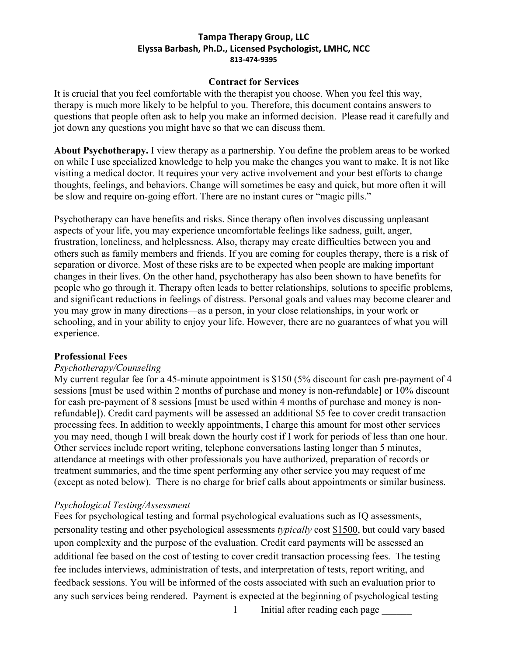# **Contract for Services**

It is crucial that you feel comfortable with the therapist you choose. When you feel this way, therapy is much more likely to be helpful to you. Therefore, this document contains answers to questions that people often ask to help you make an informed decision. Please read it carefully and jot down any questions you might have so that we can discuss them.

**About Psychotherapy.** I view therapy as a partnership. You define the problem areas to be worked on while I use specialized knowledge to help you make the changes you want to make. It is not like visiting a medical doctor. It requires your very active involvement and your best efforts to change thoughts, feelings, and behaviors. Change will sometimes be easy and quick, but more often it will be slow and require on-going effort. There are no instant cures or "magic pills."

Psychotherapy can have benefits and risks. Since therapy often involves discussing unpleasant aspects of your life, you may experience uncomfortable feelings like sadness, guilt, anger, frustration, loneliness, and helplessness. Also, therapy may create difficulties between you and others such as family members and friends. If you are coming for couples therapy, there is a risk of separation or divorce. Most of these risks are to be expected when people are making important changes in their lives. On the other hand, psychotherapy has also been shown to have benefits for people who go through it. Therapy often leads to better relationships, solutions to specific problems, and significant reductions in feelings of distress. Personal goals and values may become clearer and you may grow in many directions—as a person, in your close relationships, in your work or schooling, and in your ability to enjoy your life. However, there are no guarantees of what you will experience.

#### **Professional Fees**

# *Psychotherapy/Counseling*

My current regular fee for a 45-minute appointment is \$150 (5% discount for cash pre-payment of 4 sessions [must be used within 2 months of purchase and money is non-refundable] or 10% discount for cash pre-payment of 8 sessions [must be used within 4 months of purchase and money is nonrefundable]). Credit card payments will be assessed an additional \$5 fee to cover credit transaction processing fees. In addition to weekly appointments, I charge this amount for most other services you may need, though I will break down the hourly cost if I work for periods of less than one hour. Other services include report writing, telephone conversations lasting longer than 5 minutes, attendance at meetings with other professionals you have authorized, preparation of records or treatment summaries, and the time spent performing any other service you may request of me (except as noted below). There is no charge for brief calls about appointments or similar business.

# *Psychological Testing/Assessment*

Fees for psychological testing and formal psychological evaluations such as IQ assessments, personality testing and other psychological assessments *typically* cost \$1500, but could vary based upon complexity and the purpose of the evaluation. Credit card payments will be assessed an additional fee based on the cost of testing to cover credit transaction processing fees. The testing fee includes interviews, administration of tests, and interpretation of tests, report writing, and feedback sessions. You will be informed of the costs associated with such an evaluation prior to any such services being rendered. Payment is expected at the beginning of psychological testing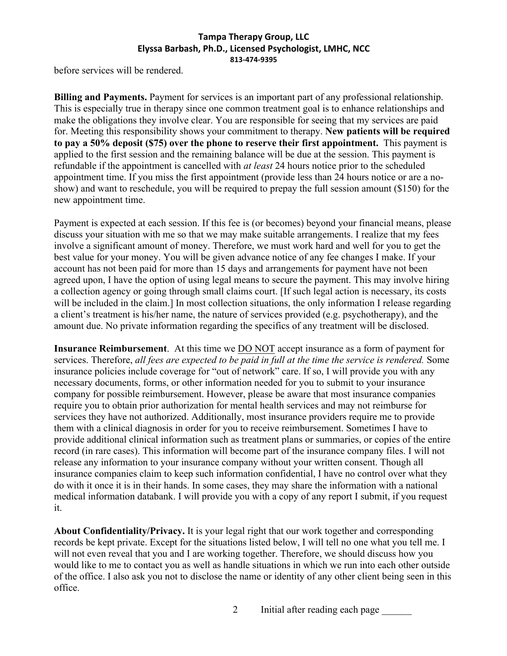before services will be rendered.

**Billing and Payments.** Payment for services is an important part of any professional relationship. This is especially true in therapy since one common treatment goal is to enhance relationships and make the obligations they involve clear. You are responsible for seeing that my services are paid for. Meeting this responsibility shows your commitment to therapy. **New patients will be required to pay a 50% deposit (\$75) over the phone to reserve their first appointment.** This payment is applied to the first session and the remaining balance will be due at the session. This payment is refundable if the appointment is cancelled with *at least* 24 hours notice prior to the scheduled appointment time. If you miss the first appointment (provide less than 24 hours notice or are a noshow) and want to reschedule, you will be required to prepay the full session amount (\$150) for the new appointment time.

Payment is expected at each session. If this fee is (or becomes) beyond your financial means, please discuss your situation with me so that we may make suitable arrangements. I realize that my fees involve a significant amount of money. Therefore, we must work hard and well for you to get the best value for your money. You will be given advance notice of any fee changes I make. If your account has not been paid for more than 15 days and arrangements for payment have not been agreed upon, I have the option of using legal means to secure the payment. This may involve hiring a collection agency or going through small claims court. [If such legal action is necessary, its costs will be included in the claim.] In most collection situations, the only information I release regarding a client's treatment is his/her name, the nature of services provided (e.g. psychotherapy), and the amount due. No private information regarding the specifics of any treatment will be disclosed.

**Insurance Reimbursement**. At this time we DO NOT accept insurance as a form of payment for services. Therefore, *all fees are expected to be paid in full at the time the service is rendered.* Some insurance policies include coverage for "out of network" care. If so, I will provide you with any necessary documents, forms, or other information needed for you to submit to your insurance company for possible reimbursement. However, please be aware that most insurance companies require you to obtain prior authorization for mental health services and may not reimburse for services they have not authorized. Additionally, most insurance providers require me to provide them with a clinical diagnosis in order for you to receive reimbursement. Sometimes I have to provide additional clinical information such as treatment plans or summaries, or copies of the entire record (in rare cases). This information will become part of the insurance company files. I will not release any information to your insurance company without your written consent. Though all insurance companies claim to keep such information confidential, I have no control over what they do with it once it is in their hands. In some cases, they may share the information with a national medical information databank. I will provide you with a copy of any report I submit, if you request it.

**About Confidentiality/Privacy.** It is your legal right that our work together and corresponding records be kept private. Except for the situations listed below, I will tell no one what you tell me. I will not even reveal that you and I are working together. Therefore, we should discuss how you would like to me to contact you as well as handle situations in which we run into each other outside of the office. I also ask you not to disclose the name or identity of any other client being seen in this office.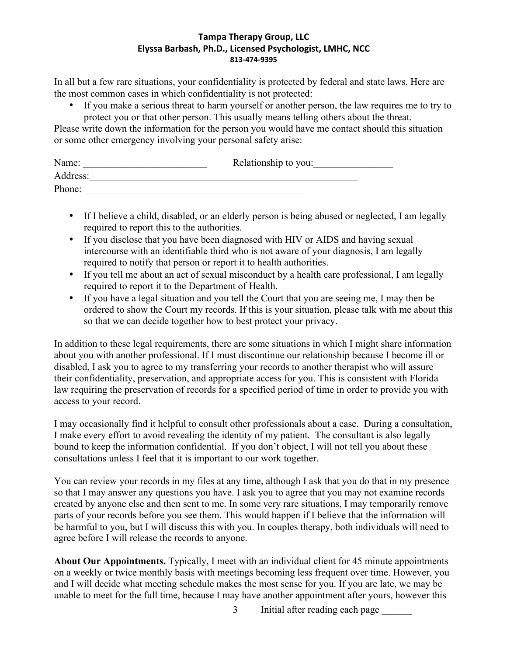In all but a few rare situations, your confidentiality is protected by federal and state laws. Here are the most common cases in which confidentiality is not protected:

• If you make a serious threat to harm yourself or another person, the law requires me to try to protect you or that other person. This usually means telling others about the threat.

Please write down the information for the person you would have me contact should this situation or some other emergency involving your personal safety arise:

| Name:    | Relationship to you: |
|----------|----------------------|
| Address: |                      |
| Phone:   |                      |

- If I believe a child, disabled, or an elderly person is being abused or neglected, I am legally required to report this to the authorities.
- If you disclose that you have been diagnosed with HIV or AIDS and having sexual intercourse with an identifiable third who is not aware of your diagnosis, I am legally required to notify that person or report it to health authorities.
- If you tell me about an act of sexual misconduct by a health care professional, I am legally required to report it to the Department of Health.
- If you have a legal situation and you tell the Court that you are seeing me, I may then be ordered to show the Court my records. If this is your situation, please talk with me about this so that we can decide together how to best protect your privacy.

In addition to these legal requirements, there are some situations in which I might share information about you with another professional. If I must discontinue our relationship because I become ill or disabled, I ask you to agree to my transferring your records to another therapist who will assure their confidentiality, preservation, and appropriate access for you. This is consistent with Florida law requiring the preservation of records for a specified period of time in order to provide you with access to your record.

I may occasionally find it helpful to consult other professionals about a case. During a consultation, I make every effort to avoid revealing the identity of my patient. The consultant is also legally bound to keep the information confidential. If you don't object, I will not tell you about these consultations unless I feel that it is important to our work together.

You can review your records in my files at any time, although I ask that you do that in my presence so that I may answer any questions you have. I ask you to agree that you may not examine records created by anyone else and then sent to me. In some very rare situations, I may temporarily remove parts of your records before you see them. This would happen if I believe that the information will be harmful to you, but I will discuss this with you. In couples therapy, both individuals will need to agree before I will release the records to anyone.

**About Our Appointments.** Typically, I meet with an individual client for 45 minute appointments on a weekly or twice monthly basis with meetings becoming less frequent over time. However, you and I will decide what meeting schedule makes the most sense for you. If you are late, we may be unable to meet for the full time, because I may have another appointment after yours, however this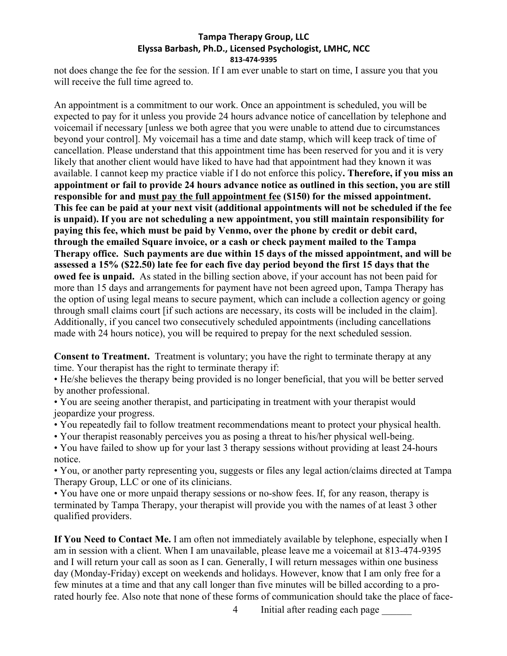not does change the fee for the session. If I am ever unable to start on time, I assure you that you will receive the full time agreed to.

An appointment is a commitment to our work. Once an appointment is scheduled, you will be expected to pay for it unless you provide 24 hours advance notice of cancellation by telephone and voicemail if necessary [unless we both agree that you were unable to attend due to circumstances beyond your control]. My voicemail has a time and date stamp, which will keep track of time of cancellation. Please understand that this appointment time has been reserved for you and it is very likely that another client would have liked to have had that appointment had they known it was available. I cannot keep my practice viable if I do not enforce this policy**. Therefore, if you miss an appointment or fail to provide 24 hours advance notice as outlined in this section, you are still responsible for and must pay the full appointment fee (\$150) for the missed appointment. This fee can be paid at your next visit (additional appointments will not be scheduled if the fee is unpaid). If you are not scheduling a new appointment, you still maintain responsibility for paying this fee, which must be paid by Venmo, over the phone by credit or debit card, through the emailed Square invoice, or a cash or check payment mailed to the Tampa Therapy office. Such payments are due within 15 days of the missed appointment, and will be assessed a 15% (\$22.50) late fee for each five day period beyond the first 15 days that the owed fee is unpaid.** As stated in the billing section above, if your account has not been paid for more than 15 days and arrangements for payment have not been agreed upon, Tampa Therapy has the option of using legal means to secure payment, which can include a collection agency or going through small claims court [if such actions are necessary, its costs will be included in the claim]. Additionally, if you cancel two consecutively scheduled appointments (including cancellations made with 24 hours notice), you will be required to prepay for the next scheduled session.

**Consent to Treatment.** Treatment is voluntary; you have the right to terminate therapy at any time. Your therapist has the right to terminate therapy if:

• He/she believes the therapy being provided is no longer beneficial, that you will be better served by another professional.

• You are seeing another therapist, and participating in treatment with your therapist would jeopardize your progress.

- You repeatedly fail to follow treatment recommendations meant to protect your physical health.
- Your therapist reasonably perceives you as posing a threat to his/her physical well-being.

• You have failed to show up for your last 3 therapy sessions without providing at least 24-hours notice.

• You, or another party representing you, suggests or files any legal action/claims directed at Tampa Therapy Group, LLC or one of its clinicians.

• You have one or more unpaid therapy sessions or no-show fees. If, for any reason, therapy is terminated by Tampa Therapy, your therapist will provide you with the names of at least 3 other qualified providers.

**If You Need to Contact Me.** I am often not immediately available by telephone, especially when I am in session with a client. When I am unavailable, please leave me a voicemail at 813-474-9395 and I will return your call as soon as I can. Generally, I will return messages within one business day (Monday-Friday) except on weekends and holidays. However, know that I am only free for a few minutes at a time and that any call longer than five minutes will be billed according to a prorated hourly fee. Also note that none of these forms of communication should take the place of face-